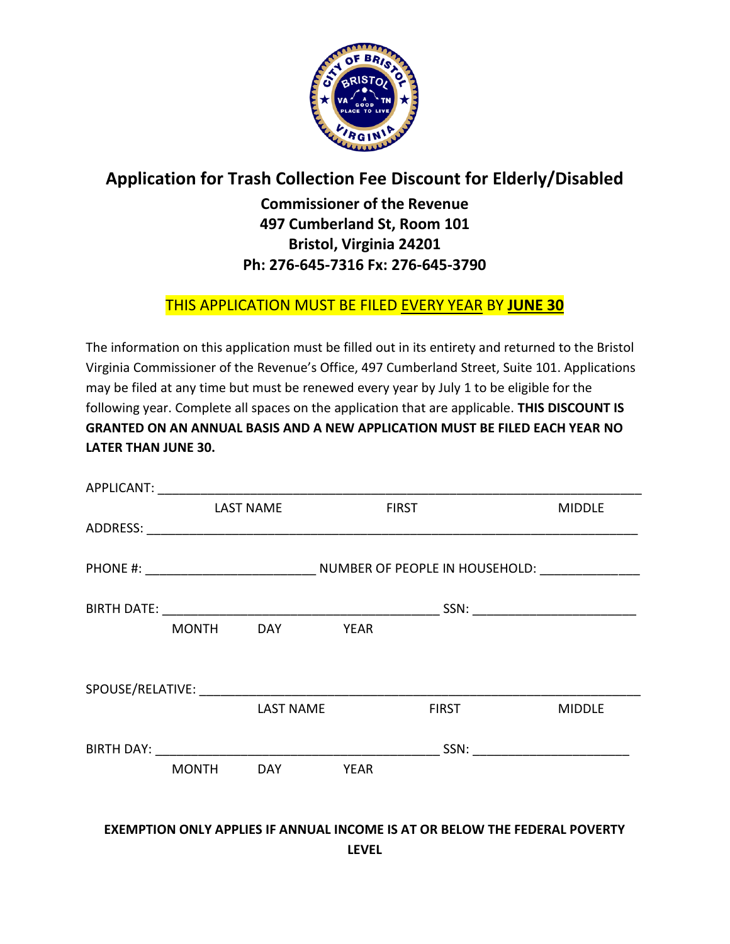

## **Application for Trash Collection Fee Discount for Elderly/Disabled**

## **Commissioner of the Revenue 497 Cumberland St, Room 101 Bristol, Virginia 24201 Ph: 276-645-7316 Fx: 276-645-3790**

## THIS APPLICATION MUST BE FILED EVERY YEAR BY **JUNE 30**

The information on this application must be filled out in its entirety and returned to the Bristol Virginia Commissioner of the Revenue's Office, 497 Cumberland Street, Suite 101. Applications may be filed at any time but must be renewed every year by July 1 to be eligible for the following year. Complete all spaces on the application that are applicable. **THIS DISCOUNT IS GRANTED ON AN ANNUAL BASIS AND A NEW APPLICATION MUST BE FILED EACH YEAR NO LATER THAN JUNE 30.**

| <b>LAST NAME</b> |                  | <b>FIRST</b> |              | <b>MIDDLE</b>                         |  |
|------------------|------------------|--------------|--------------|---------------------------------------|--|
|                  |                  |              |              |                                       |  |
|                  |                  |              |              |                                       |  |
|                  |                  |              |              | SSN: ________________________________ |  |
|                  | MONTH DAY YEAR   |              |              |                                       |  |
|                  |                  |              |              |                                       |  |
|                  | <b>LAST NAME</b> |              | <b>FIRST</b> | <b>MIDDLE</b>                         |  |
|                  |                  |              |              | SSN: _____________________________    |  |
| <b>MONTH</b>     |                  | DAY YEAR     |              |                                       |  |
|                  |                  |              |              |                                       |  |

## **EXEMPTION ONLY APPLIES IF ANNUAL INCOME IS AT OR BELOW THE FEDERAL POVERTY LEVEL**